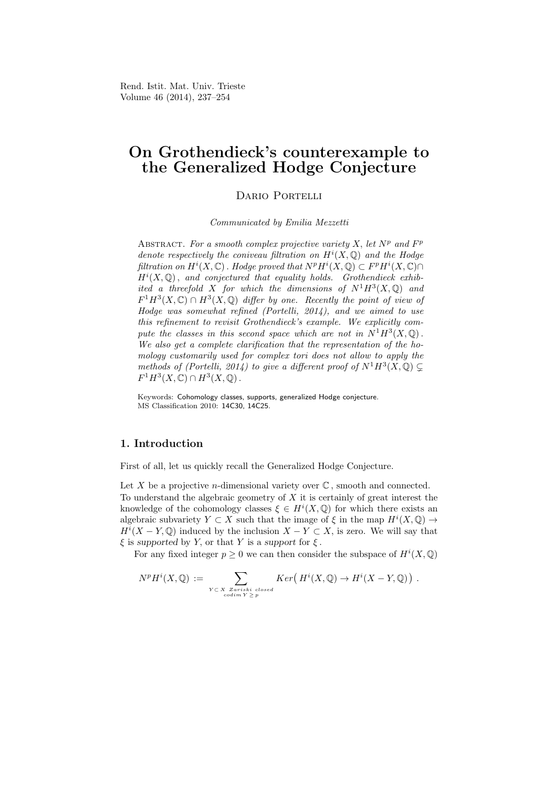Rend. Istit. Mat. Univ. Trieste Volume 46 (2014), 237–254

# On Grothendieck's counterexample to the Generalized Hodge Conjecture

DARIO PORTELLI

Communicated by Emilia Mezzetti

ABSTRACT. For a smooth complex projective variety  $X$ , let  $N^p$  and  $F^p$ denote respectively the coniveau filtration on  $H^{i}(X,\mathbb{Q})$  and the Hodge filtration on  $H^i(X, \mathbb{C})$ . Hodge proved that  $N^p H^i(X, \mathbb{Q}) \subset F^p H^i(X, \mathbb{C}) \cap$  $H^i(X,\mathbb{Q})$ , and conjectured that equality holds. Grothendieck exhibited a threefold X for which the dimensions of  $N^1H^3(X,\mathbb{Q})$  and  $F^1H^3(X,\mathbb{C}) \cap H^3(X,\mathbb{Q})$  differ by one. Recently the point of view of Hodge was somewhat refined (Portelli, 2014), and we aimed to use this refinement to revisit Grothendieck's example. We explicitly compute the classes in this second space which are not in  $N^1H^3(X, \mathbb{Q})$ . We also get a complete clarification that the representation of the homology customarily used for complex tori does not allow to apply the methods of (Portelli, 2014) to give a different proof of  $N^1H^3(X,\mathbb{Q})\subsetneq$  $F^1H^3(X,\mathbb{C})\cap H^3(X,\mathbb{Q})$ .

Keywords: Cohomology classes, supports, generalized Hodge conjecture. MS Classification 2010: 14C30, 14C25.

## 1. Introduction

First of all, let us quickly recall the Generalized Hodge Conjecture.

Let X be a projective *n*-dimensional variety over  $\mathbb{C}$ , smooth and connected. To understand the algebraic geometry of  $X$  it is certainly of great interest the knowledge of the cohomology classes  $\xi \in H^{i}(X,\mathbb{Q})$  for which there exists an algebraic subvariety  $Y \subset X$  such that the image of  $\xi$  in the map  $H^{i}(X, \mathbb{Q}) \to$  $H^{i}(X - Y, \mathbb{Q})$  induced by the inclusion  $X - Y \subset X$ , is zero. We will say that  $\xi$  is supported by Y, or that Y is a support for  $\xi$ .

For any fixed integer  $p \geq 0$  we can then consider the subspace of  $H^{i}(X, \mathbb{Q})$ 

$$
N^{p}H^{i}(X,\mathbb{Q}) := \sum_{\substack{Y \subset X \text{ Zariski closed} \\ codim Y \geq p}} Ker(H^{i}(X,\mathbb{Q}) \to H^{i}(X-Y,\mathbb{Q})) .
$$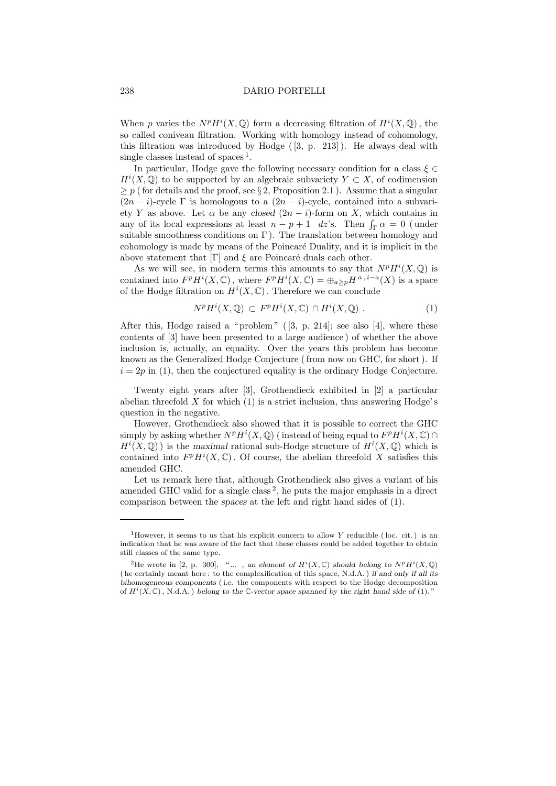When p varies the  $N^p H^i(X, \mathbb{Q})$  form a decreasing filtration of  $H^i(X, \mathbb{Q})$ , the so called coniveau filtration. Working with homology instead of cohomology, this filtration was introduced by Hodge  $([3, p. 213])$ . He always deal with single classes instead of spaces<sup>1</sup>.

In particular, Hodge gave the following necessary condition for a class  $\xi \in$  $H^{i}(X,\mathbb{Q})$  to be supported by an algebraic subvariety  $Y \subset X$ , of codimension  $\geq p$  ( for details and the proof, see § 2, Proposition 2.1). Assume that a singular  $(2n - i)$ -cycle Γ is homologous to a  $(2n - i)$ -cycle, contained into a subvariety Y as above. Let  $\alpha$  be any closed  $(2n - i)$ -form on X, which contains in any of its local expressions at least  $n - p + 1$  dz's. Then  $\int_{\Gamma} \alpha = 0$  (under suitable smoothness conditions on  $\Gamma$ ). The translation between homology and cohomology is made by means of the Poincar´e Duality, and it is implicit in the above statement that  $[\Gamma]$  and  $\xi$  are Poincaré duals each other.

As we will see, in modern terms this amounts to say that  $N^p H^i(X, \mathbb{Q})$  is contained into  $F^p H^i(X, \mathbb{C})$ , where  $F^p H^i(X, \mathbb{C}) = \bigoplus_{a \geq p} H^{a, i-a}(X)$  is a space of the Hodge filtration on  $H^{i}(X,\mathbb{C})$ . Therefore we can conclude

$$
N^p H^i(X, \mathbb{Q}) \subset F^p H^i(X, \mathbb{C}) \cap H^i(X, \mathbb{Q}) . \tag{1}
$$

After this, Hodge raised a " problem " ( [3, p. 214]; see also [4], where these contents of [3] have been presented to a large audience ) of whether the above inclusion is, actually, an equality. Over the years this problem has become known as the Generalized Hodge Conjecture ( from now on GHC, for short ). If  $i = 2p$  in (1), then the conjectured equality is the ordinary Hodge Conjecture.

Twenty eight years after [3], Grothendieck exhibited in [2] a particular abelian threefold  $X$  for which  $(1)$  is a strict inclusion, thus answering Hodge's question in the negative.

However, Grothendieck also showed that it is possible to correct the GHC simply by asking whether  $N^p H^i(X, \mathbb{Q})$  (instead of being equal to  $F^p H^i(X, \mathbb{C}) \cap$  $H^{i}(X,\mathbb{Q})$  is the maximal rational sub-Hodge structure of  $H^{i}(X,\mathbb{Q})$  which is contained into  $F^p H^i(X, \mathbb{C})$ . Of course, the abelian threefold X satisfies this amended GHC.

Let us remark here that, although Grothendieck also gives a variant of his amended GHC valid for a single class<sup>2</sup>, he puts the major emphasis in a direct comparison between the spaces at the left and right hand sides of (1).

<sup>&</sup>lt;sup>1</sup>However, it seems to us that his explicit concern to allow Y reducible (loc. cit.) is an indication that he was aware of the fact that these classes could be added together to obtain still classes of the same type.

<sup>&</sup>lt;sup>2</sup>He wrote in [2, p. 300], "..., an element of  $H^i(X, \mathbb{C})$  should belong to  $N^p H^i(X, \mathbb{Q})$ ( he certainly meant here : to the complexification of this space, N.d.A. ) if and only if all its bihomogeneous components ( i.e. the components with respect to the Hodge decomposition of  $H^i(X,\mathbb{C})$ , N.d.A.) belong to the C-vector space spanned by the right hand side of (1)."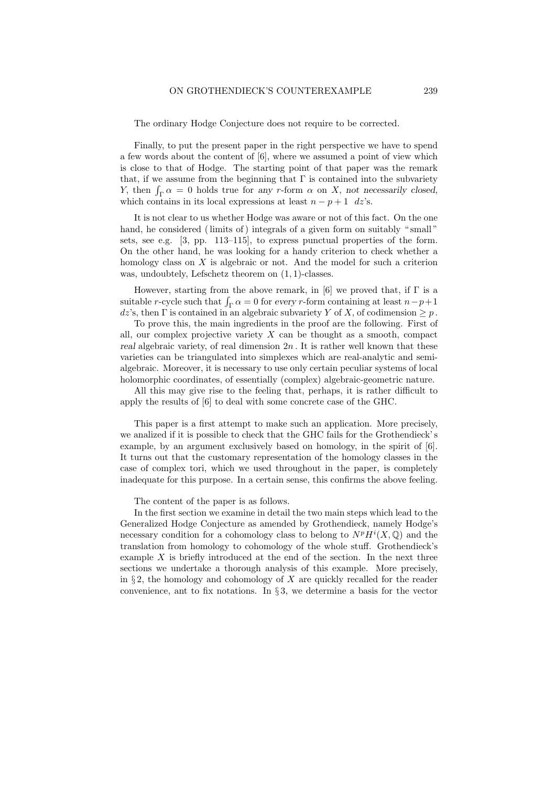The ordinary Hodge Conjecture does not require to be corrected.

Finally, to put the present paper in the right perspective we have to spend a few words about the content of [6], where we assumed a point of view which is close to that of Hodge. The starting point of that paper was the remark that, if we assume from the beginning that  $\Gamma$  is contained into the subvariety Y, then  $\int_{\Gamma} \alpha = 0$  holds true for any r-form  $\alpha$  on X, not necessarily closed, which contains in its local expressions at least  $n - p + 1$  dz's.

It is not clear to us whether Hodge was aware or not of this fact. On the one hand, he considered (limits of) integrals of a given form on suitably "small" sets, see e.g. [3, pp. 113–115], to express punctual properties of the form. On the other hand, he was looking for a handy criterion to check whether a homology class on  $X$  is algebraic or not. And the model for such a criterion was, undoubtely, Lefschetz theorem on (1, 1)-classes.

However, starting from the above remark, in [6] we proved that, if  $\Gamma$  is a suitable *r*-cycle such that  $\int_{\Gamma} \alpha = 0$  for every *r*-form containing at least  $n-p+1$ dz's, then  $\Gamma$  is contained in an algebraic subvariety Y of X, of codimension  $\geq p$ .

To prove this, the main ingredients in the proof are the following. First of all, our complex projective variety  $X$  can be thought as a smooth, compact real algebraic variety, of real dimension  $2n$ . It is rather well known that these varieties can be triangulated into simplexes which are real-analytic and semialgebraic. Moreover, it is necessary to use only certain peculiar systems of local holomorphic coordinates, of essentially (complex) algebraic-geometric nature.

All this may give rise to the feeling that, perhaps, it is rather difficult to apply the results of [6] to deal with some concrete case of the GHC.

This paper is a first attempt to make such an application. More precisely, we analized if it is possible to check that the GHC fails for the Grothendieck' s example, by an argument exclusively based on homology, in the spirit of [6]. It turns out that the customary representation of the homology classes in the case of complex tori, which we used throughout in the paper, is completely inadequate for this purpose. In a certain sense, this confirms the above feeling.

The content of the paper is as follows.

In the first section we examine in detail the two main steps which lead to the Generalized Hodge Conjecture as amended by Grothendieck, namely Hodge's necessary condition for a cohomology class to belong to  $N^p H^i(X, \mathbb{Q})$  and the translation from homology to cohomology of the whole stuff. Grothendieck's example X is briefly introduced at the end of the section. In the next three sections we undertake a thorough analysis of this example. More precisely, in  $\S 2$ , the homology and cohomology of X are quickly recalled for the reader convenience, ant to fix notations. In § 3, we determine a basis for the vector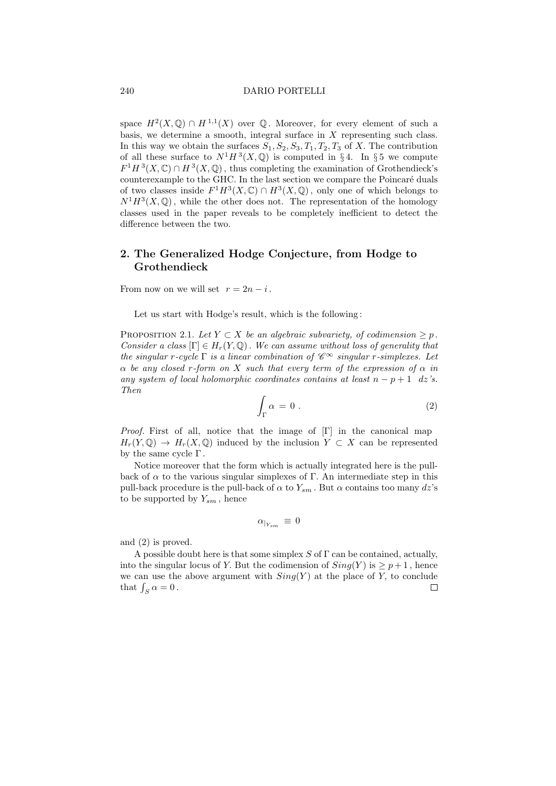space  $H^2(X, \mathbb{Q}) \cap H^{1,1}(X)$  over  $\mathbb Q$ . Moreover, for every element of such a basis, we determine a smooth, integral surface in  $X$  representing such class. In this way we obtain the surfaces  $S_1, S_2, S_3, T_1, T_2, T_3$  of X. The contribution of all these surface to  $N^1H^3(X,\mathbb{Q})$  is computed in §4. In §5 we compute  $F^1H^3(X,\mathbb{C}) \cap H^3(X,\mathbb{Q})$ , thus completing the examination of Grothendieck's counterexample to the GHC. In the last section we compare the Poincaré duals of two classes inside  $F^1H^3(X,\mathbb{C}) \cap H^3(X,\mathbb{Q})$ , only one of which belongs to  $N^1H^3(X,\mathbb{Q})$ , while the other does not. The representation of the homology classes used in the paper reveals to be completely inefficient to detect the difference between the two.

## 2. The Generalized Hodge Conjecture, from Hodge to Grothendieck

From now on we will set  $r = 2n - i$ .

Let us start with Hodge's result, which is the following :

PROPOSITION 2.1. Let  $Y \subset X$  be an algebraic subvariety, of codimension  $\geq p$ . Consider a class  $[\Gamma] \in H_r(Y, \mathbb{Q})$ . We can assume without loss of generality that the singular r-cycle  $\Gamma$  is a linear combination of  $\mathscr{C}^{\infty}$  singular r-simplexes. Let  $\alpha$  be any closed r-form on X such that every term of the expression of  $\alpha$  in any system of local holomorphic coordinates contains at least  $n - p + 1$  dz's. Then

$$
\int_{\Gamma} \alpha = 0 \tag{2}
$$

*Proof.* First of all, notice that the image of  $[\Gamma]$  in the canonical map  $H_r(Y, \mathbb{Q}) \to H_r(X, \mathbb{Q})$  induced by the inclusion  $Y \subset X$  can be represented by the same cycle  $\Gamma$ .

Notice moreover that the form which is actually integrated here is the pullback of  $\alpha$  to the various singular simplexes of Γ. An intermediate step in this pull-back procedure is the pull-back of  $\alpha$  to  $Y_{sm}$ . But  $\alpha$  contains too many dz's to be supported by  $Y_{sm}$ , hence

$$
\alpha_{|_{Y_{sm}}}\,\equiv\,0
$$

and (2) is proved.

A possible doubt here is that some simplex  $S$  of  $\Gamma$  can be contained, actually, into the singular locus of Y. But the codimension of  $Sing(Y)$  is  $\geq p+1$ , hence we can use the above argument with  $Sing(Y)$  at the place of Y, to conclude that  $\int_S \alpha = 0$ .  $\Box$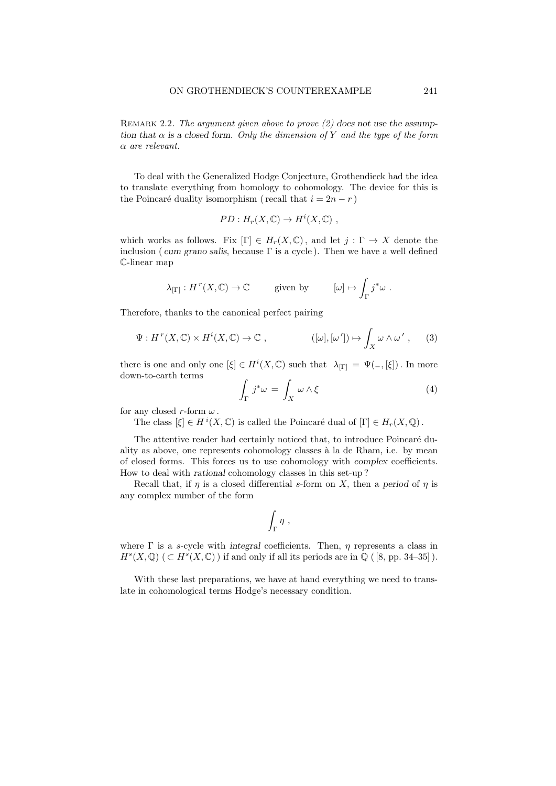REMARK 2.2. The argument given above to prove  $(2)$  does not use the assumption that  $\alpha$  is a closed form. Only the dimension of Y and the type of the form α are relevant.

To deal with the Generalized Hodge Conjecture, Grothendieck had the idea to translate everything from homology to cohomology. The device for this is the Poincaré duality isomorphism ( recall that  $i = 2n - r$  )

$$
PD: H_r(X, \mathbb{C}) \to H^i(X, \mathbb{C}) ,
$$

which works as follows. Fix  $[\Gamma] \in H_r(X, \mathbb{C})$ , and let  $j : \Gamma \to X$  denote the inclusion (cum grano salis, because  $\Gamma$  is a cycle). Then we have a well defined C-linear map

$$
\lambda_{[\Gamma]} : H^r(X, \mathbb{C}) \to \mathbb{C} \qquad \text{given by} \qquad [\omega] \mapsto \int_{\Gamma} j^* \omega .
$$

Therefore, thanks to the canonical perfect pairing

$$
\Psi: H^r(X, \mathbb{C}) \times H^i(X, \mathbb{C}) \to \mathbb{C} , \qquad \qquad ([\omega], [\omega']) \mapsto \int_X \omega \wedge \omega' , \qquad (3)
$$

there is one and only one  $[\xi] \in H^i(X, \mathbb{C})$  such that  $\lambda_{[\Gamma]} = \Psi( -, [\xi])$ . In more down-to-earth terms

$$
\int_{\Gamma} j^* \omega = \int_X \omega \wedge \xi \tag{4}
$$

for any closed r-form  $\omega$ .

The class  $[\xi] \in H^i(X, \mathbb{C})$  is called the Poincaré dual of  $[\Gamma] \in H_r(X, \mathbb{Q})$ .

The attentive reader had certainly noticed that, to introduce Poincaré duality as above, one represents cohomology classes à la de Rham, i.e. by mean of closed forms. This forces us to use cohomology with complex coefficients. How to deal with rational cohomology classes in this set-up ?

Recall that, if  $\eta$  is a closed differential s-form on X, then a period of  $\eta$  is any complex number of the form

$$
\int_{\Gamma} \eta ,
$$

where  $\Gamma$  is a s-cycle with integral coefficients. Then,  $\eta$  represents a class in  $H^s(X, \mathbb{Q})$  ( $\subset H^s(X, \mathbb{C})$ ) if and only if all its periods are in  $\mathbb{Q}$  ([8, pp. 34–35]).

With these last preparations, we have at hand everything we need to translate in cohomological terms Hodge's necessary condition.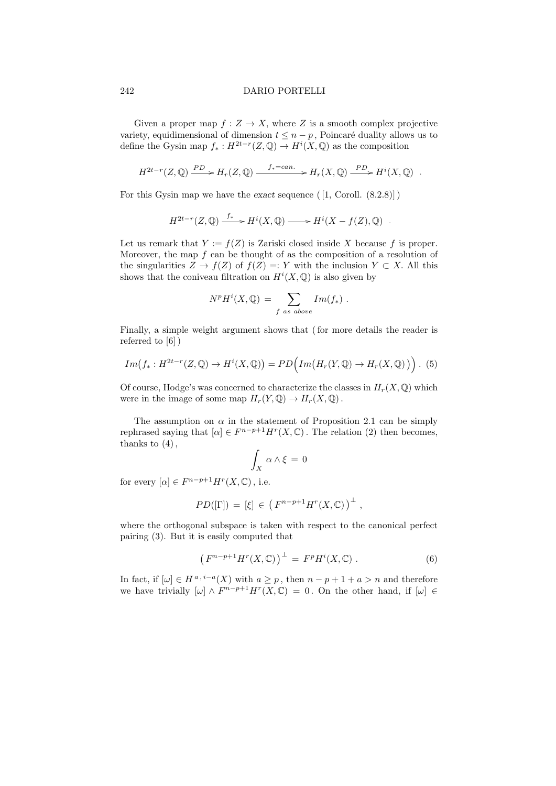Given a proper map  $f: Z \to X$ , where Z is a smooth complex projective variety, equidimensional of dimension  $t \leq n - p$ , Poincaré duality allows us to define the Gysin map  $f_*: H^{2t-r}(Z,\mathbb{Q}) \to H^i(X,\mathbb{Q})$  as the composition

$$
H^{2t-r}(Z,\mathbb{Q}) \xrightarrow{PD} H_r(Z,\mathbb{Q}) \xrightarrow{f_*=can.} H_r(X,\mathbb{Q}) \xrightarrow{PD} H^i(X,\mathbb{Q}) .
$$

For this Gysin map we have the exact sequence  $([1, \text{Coroll. } (8.2.8)])$ 

$$
H^{2t-r}(Z,\mathbb{Q}) \xrightarrow{f_*} H^i(X,\mathbb{Q}) \longrightarrow H^i(X - f(Z),\mathbb{Q}) .
$$

Let us remark that  $Y := f(Z)$  is Zariski closed inside X because f is proper. Moreover, the map  $f$  can be thought of as the composition of a resolution of the singularities  $Z \to f(Z)$  of  $f(Z) =: Y$  with the inclusion  $Y \subset X$ . All this shows that the coniveau filtration on  $H^{i}(X,\mathbb{Q})$  is also given by

$$
NpHi(X, \mathbb{Q}) = \sum_{f \text{ as above}} Im(f_{*}) .
$$

Finally, a simple weight argument shows that ( for more details the reader is referred to [6] )

$$
Im(f_*: H^{2t-r}(Z,\mathbb{Q}) \to H^i(X,\mathbb{Q})) = PD\Big(Im\big(H_r(Y,\mathbb{Q}) \to H_r(X,\mathbb{Q})\big)\Big).
$$
 (5)

Of course, Hodge's was concerned to characterize the classes in  $H_r(X, \mathbb{Q})$  which were in the image of some map  $H_r(Y, \mathbb{Q}) \to H_r(X, \mathbb{Q})$ .

The assumption on  $\alpha$  in the statement of Proposition 2.1 can be simply rephrased saying that  $[\alpha] \in F^{n-p+1}H^r(X,\mathbb{C})$ . The relation (2) then becomes, thanks to  $(4)$ ,

$$
\int_X \alpha \wedge \xi = 0
$$

for every  $[\alpha] \in F^{n-p+1}H^r(X,\mathbb{C})$ , i.e.

$$
PD([\Gamma]) = [\xi] \in (F^{n-p+1}H^r(X,\mathbb{C}))^{\perp}
$$
,

where the orthogonal subspace is taken with respect to the canonical perfect pairing (3). But it is easily computed that

$$
\left(F^{n-p+1}H^r(X,\mathbb{C})\right)^{\perp} = F^pH^i(X,\mathbb{C})\ .
$$
 (6)

In fact, if  $[\omega] \in H^{a, i-a}(X)$  with  $a \geq p$ , then  $n - p + 1 + a > n$  and therefore we have trivially  $[\omega] \wedge F^{n-p+1}H^r(X,\mathbb{C}) = 0$ . On the other hand, if  $[\omega] \in$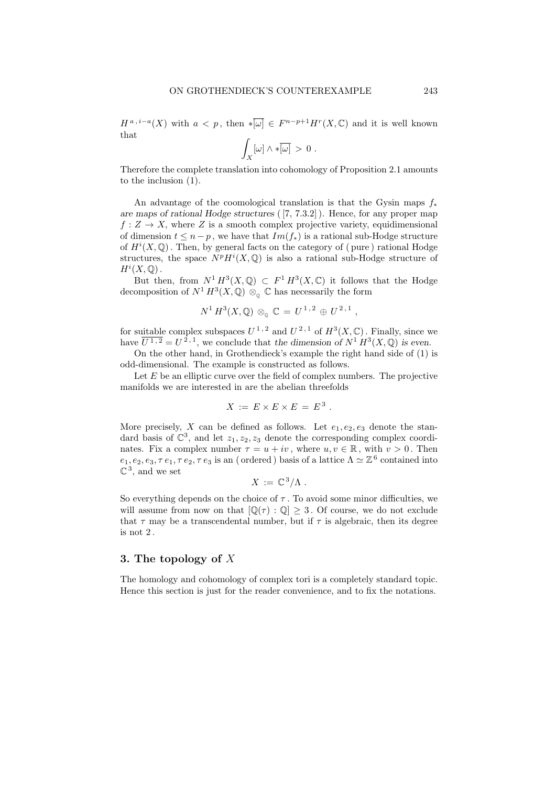$H^{a,i-a}(X)$  with  $a < p$ , then  $\ast \overline{[\omega]} \in F^{n-p+1}H^r(X,\mathbb{C})$  and it is well known that

$$
\int_X [\omega] \wedge * \overline{[\omega]} > 0.
$$

Therefore the complete translation into cohomology of Proposition 2.1 amounts to the inclusion (1).

An advantage of the coomological translation is that the Gysin maps  $f_*$ are maps of rational Hodge structures ( [7, 7.3.2] ). Hence, for any proper map  $f: Z \to X$ , where Z is a smooth complex projective variety, equidimensional of dimension  $t \leq n - p$ , we have that  $Im(f_*)$  is a rational sub-Hodge structure of  $H^{i}(X,\mathbb{Q})$ . Then, by general facts on the category of (pure) rational Hodge structures, the space  $N^p H^i(X, \mathbb{Q})$  is also a rational sub-Hodge structure of  $H^i(X,\mathbb{Q})$ .

But then, from  $N^1 H^3(X, \mathbb{Q}) \subset F^1 H^3(X, \mathbb{C})$  it follows that the Hodge decomposition of  $N^1 H^3(X, \mathbb{Q})$   $\otimes_{\mathbb{Q}} \mathbb{C}$  has necessarily the form

$$
N^1 H^3(X, \mathbb{Q}) \otimes_{\mathbb{Q}} \mathbb{C} = U^{1,2} \oplus U^{2,1}
$$
,

for suitable complex subspaces  $U^{1,2}$  and  $U^{2,1}$  of  $H^3(X,\mathbb{C})$ . Finally, since we have  $\overline{U^{1,2}} = U^{2,1}$ , we conclude that the dimension of  $N^1 H^3(X, \mathbb{Q})$  is even.

On the other hand, in Grothendieck's example the right hand side of (1) is odd-dimensional. The example is constructed as follows.

Let  $E$  be an elliptic curve over the field of complex numbers. The projective manifolds we are interested in are the abelian threefolds

$$
X := E \times E \times E = E^3.
$$

More precisely, X can be defined as follows. Let  $e_1, e_2, e_3$  denote the standard basis of  $\mathbb{C}^3$ , and let  $z_1, z_2, z_3$  denote the corresponding complex coordinates. Fix a complex number  $\tau = u + iv$ , where  $u, v \in \mathbb{R}$ , with  $v > 0$ . Then  $e_1, e_2, e_3, \tau e_1, \tau e_2, \tau e_3$  is an (ordered) basis of a lattice  $\Lambda \simeq \mathbb{Z}^6$  contained into  $\mathbb{C}^3$ , and we set

$$
X := \mathbb{C}^3/\Lambda.
$$

So everything depends on the choice of  $\tau$ . To avoid some minor difficulties, we will assume from now on that  $[\mathbb{Q}(\tau):\mathbb{Q}] \geq 3$ . Of course, we do not exclude that  $\tau$  may be a transcendental number, but if  $\tau$  is algebraic, then its degree is not 2 .

### 3. The topology of X

The homology and cohomology of complex tori is a completely standard topic. Hence this section is just for the reader convenience, and to fix the notations.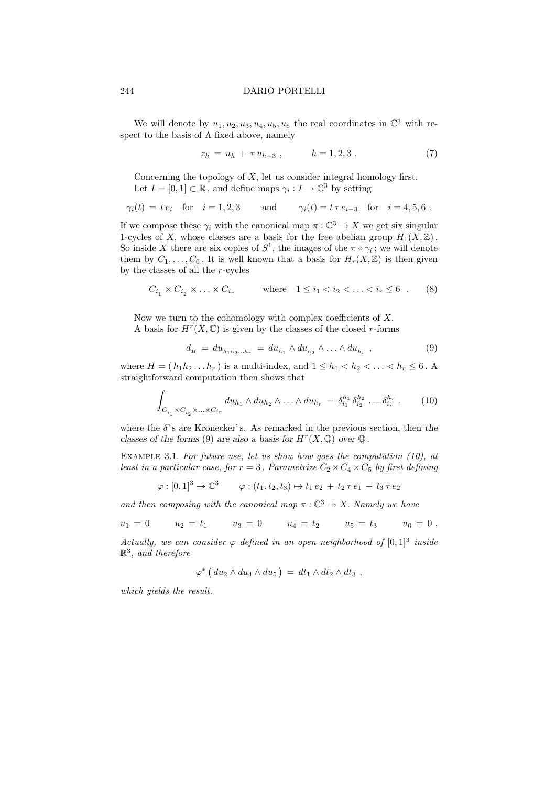We will denote by  $u_1, u_2, u_3, u_4, u_5, u_6$  the real coordinates in  $\mathbb{C}^3$  with respect to the basis of  $\Lambda$  fixed above, namely

$$
z_h = u_h + \tau u_{h+3} , \qquad h = 1, 2, 3 . \tag{7}
$$

Concerning the topology of  $X$ , let us consider integral homology first. Let  $I = [0, 1] \subset \mathbb{R}$ , and define maps  $\gamma_i : I \to \mathbb{C}^3$  by setting

$$
\gamma_i(t) = t e_i
$$
 for  $i = 1, 2, 3$  and  $\gamma_i(t) = t \tau e_{i-3}$  for  $i = 4, 5, 6$ .

If we compose these  $\gamma_i$  with the canonical map  $\pi : \mathbb{C}^3 \to X$  we get six singular 1-cycles of X, whose classes are a basis for the free abelian group  $H_1(X,\mathbb{Z})$ . So inside X there are six copies of  $S^1$ , the images of the  $\pi \circ \gamma_i$ ; we will denote them by  $C_1, \ldots, C_6$ . It is well known that a basis for  $H_r(X, \mathbb{Z})$  is then given by the classes of all the  $r$ -cycles

$$
C_{i_1} \times C_{i_2} \times \ldots \times C_{i_r}
$$
 where  $1 \leq i_1 < i_2 < \ldots < i_r \leq 6$ . (8)

Now we turn to the cohomology with complex coefficients of  $X$ . A basis for  $H^r(X, \mathbb{C})$  is given by the classes of the closed r-forms

$$
d_{H} = du_{h_1 h_2 ... h_r} = du_{h_1} \wedge du_{h_2} \wedge ... \wedge du_{h_r} , \qquad (9)
$$

where  $H = (h_1h_2 \ldots h_r)$  is a multi-index, and  $1 \leq h_1 < h_2 < \ldots < h_r \leq 6$ . A straightforward computation then shows that

$$
\int_{C_{i_1} \times C_{i_2} \times \ldots \times C_{i_r}} du_{h_1} \wedge du_{h_2} \wedge \ldots \wedge du_{h_r} = \delta_{i_1}^{h_1} \delta_{i_2}^{h_2} \ldots \delta_{i_r}^{h_r},
$$
 (10)

where the  $\delta$ 's are Kronecker's. As remarked in the previous section, then the classes of the forms (9) are also a basis for  $H^r(X, \mathbb{Q})$  over  $\mathbb Q$ .

EXAMPLE 3.1. For future use, let us show how goes the computation  $(10)$ , at least in a particular case, for  $r = 3$ . Parametrize  $C_2 \times C_4 \times C_5$  by first defining

$$
\varphi : [0,1]^3 \to \mathbb{C}^3 \qquad \varphi : (t_1, t_2, t_3) \mapsto t_1 e_2 + t_2 \tau e_1 + t_3 \tau e_2
$$

and then composing with the canonical map  $\pi : \mathbb{C}^3 \to X$ . Namely we have

$$
u_1 = 0
$$
  $u_2 = t_1$   $u_3 = 0$   $u_4 = t_2$   $u_5 = t_3$   $u_6 = 0$ .

Actually, we can consider  $\varphi$  defined in an open neighborhood of  $[0,1]^3$  inside  $\mathbb{R}^3$ , and therefore

$$
\varphi^* \left( du_2 \wedge du_4 \wedge du_5 \right) \, = \, dt_1 \wedge dt_2 \wedge dt_3 \;,
$$

which yields the result.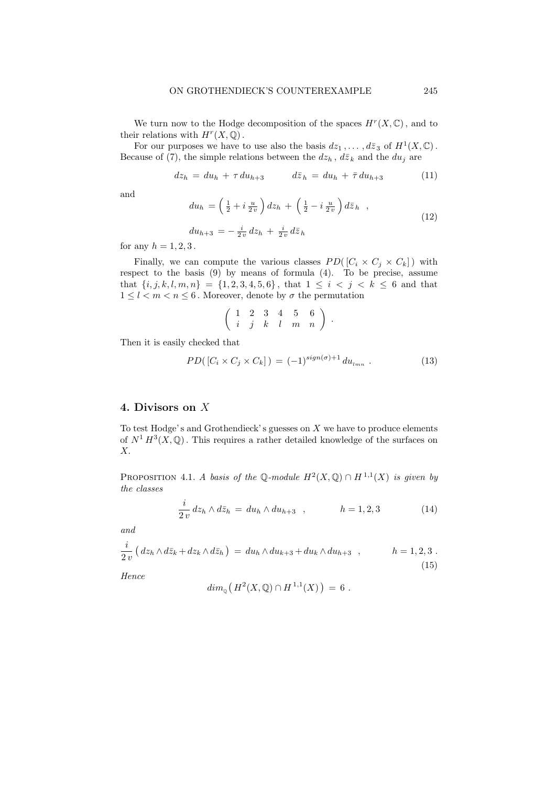We turn now to the Hodge decomposition of the spaces  $H^r(X, \mathbb{C})$ , and to their relations with  $H^r(X, \mathbb{Q})$ .

For our purposes we have to use also the basis  $dz_1, \ldots, d\overline{z}_3$  of  $H^1(X, \mathbb{C})$ . Because of (7), the simple relations between the  $dz_h$ ,  $d\overline{z}_k$  and the  $du_j$  are

$$
dz_h = du_h + \tau du_{h+3} \qquad d\bar{z}_h = du_h + \bar{\tau} du_{h+3} \qquad (11)
$$

and

$$
du_h = \left(\frac{1}{2} + i\frac{u}{2v}\right)dz_h + \left(\frac{1}{2} - i\frac{u}{2v}\right)d\bar{z}_h,
$$
  
\n
$$
du_{h+3} = -\frac{i}{2v}dz_h + \frac{i}{2v}d\bar{z}_h
$$
\n(12)

for any  $h = 1, 2, 3$ .

Finally, we can compute the various classes  $PD([C_i \times C_j \times C_k])$  with respect to the basis (9) by means of formula (4). To be precise, assume that  $\{i, j, k, l, m, n\} = \{1, 2, 3, 4, 5, 6\}$ , that  $1 \leq i \leq j \leq k \leq 6$  and that  $1 \leq l < m < n \leq 6$ . Moreover, denote by  $\sigma$  the permutation

$$
\left(\begin{array}{cccccc} 1 & 2 & 3 & 4 & 5 & 6 \\ i & j & k & l & m & n \end{array}\right) .
$$

Then it is easily checked that

$$
PD([C_i \times C_j \times C_k]) = (-1)^{sign(\sigma)+1} du_{lmn} . \qquad (13)
$$

## 4. Divisors on X

To test Hodge's and Grothendieck's guesses on  $X$  we have to produce elements of  $N^1 H^3(X, \mathbb{Q})$ . This requires a rather detailed knowledge of the surfaces on X.

PROPOSITION 4.1. A basis of the Q-module  $H^2(X, \mathbb{Q}) \cap H^{1,1}(X)$  is given by the classes

$$
\frac{i}{2v} dz_h \wedge d\bar{z}_h = du_h \wedge du_{h+3} , \qquad h = 1, 2, 3
$$
 (14)

and

$$
\frac{i}{2v} \left( dz_h \wedge d\bar{z}_k + dz_k \wedge d\bar{z}_h \right) = du_h \wedge du_{k+3} + du_k \wedge du_{h+3} \quad , \qquad h = 1, 2, 3 \; . \tag{15}
$$

Hence

$$
dim_{\mathfrak{g}}\left(H^2(X,\mathbb{Q})\cap H^{1,1}(X)\right) = 6.
$$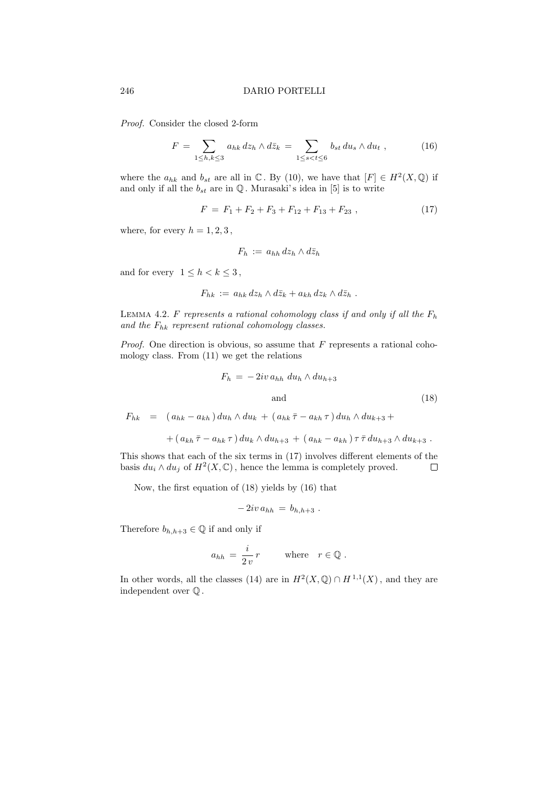Proof. Consider the closed 2-form

$$
F = \sum_{1 \leq h,k \leq 3} a_{hk} \, dz_h \wedge d\bar{z}_k = \sum_{1 \leq s < t \leq 6} b_{st} \, du_s \wedge du_t \;, \tag{16}
$$

where the  $a_{hk}$  and  $b_{st}$  are all in  $\mathbb C$ . By (10), we have that  $[F] \in H^2(X, \mathbb Q)$  if and only if all the  $b_{st}$  are in  $\mathbb Q$ . Murasaki's idea in [5] is to write

$$
F = F_1 + F_2 + F_3 + F_{12} + F_{13} + F_{23} , \qquad (17)
$$

where, for every  $h = 1, 2, 3$ ,

$$
F_h := a_{hh} \, dz_h \wedge d\bar{z}_h
$$

and for every  $1 \leq h \leq k \leq 3$ ,

$$
F_{hk} := a_{hk} dz_h \wedge d\bar{z}_k + a_{kh} dz_k \wedge d\bar{z}_h .
$$

LEMMA 4.2. F represents a rational cohomology class if and only if all the  $F_h$ and the  $F_{hk}$  represent rational cohomology classes.

*Proof.* One direction is obvious, so assume that  $F$  represents a rational cohomology class. From (11) we get the relations

$$
F_h = -2iv a_{hh} du_h \wedge du_{h+3}
$$
  
and (18)

 $F_{hk} = (a_{hk} - a_{kh}) du_h \wedge du_k + (a_{hk} \bar{\tau} - a_{kh} \tau) du_h \wedge du_{k+3} +$ 

$$
+ (a_{kh}\overline{\tau} - a_{hk}\tau) du_k \wedge du_{h+3} + (a_{hk} - a_{kh})\tau \overline{\tau} du_{h+3} \wedge du_{k+3} .
$$

This shows that each of the six terms in (17) involves different elements of the basis  $du_i \wedge du_j$  of  $H^2(X, \mathbb{C})$ , hence the lemma is completely proved.  $\Box$ 

Now, the first equation of (18) yields by (16) that

$$
-2iv a_{hh} = b_{h,h+3} .
$$

Therefore  $b_{h,h+3} \in \mathbb{Q}$  if and only if

$$
a_{hh} = \frac{i}{2v} r \quad \text{where} \quad r \in \mathbb{Q} .
$$

In other words, all the classes (14) are in  $H^2(X, \mathbb{Q}) \cap H^{1,1}(X)$ , and they are independent over Q .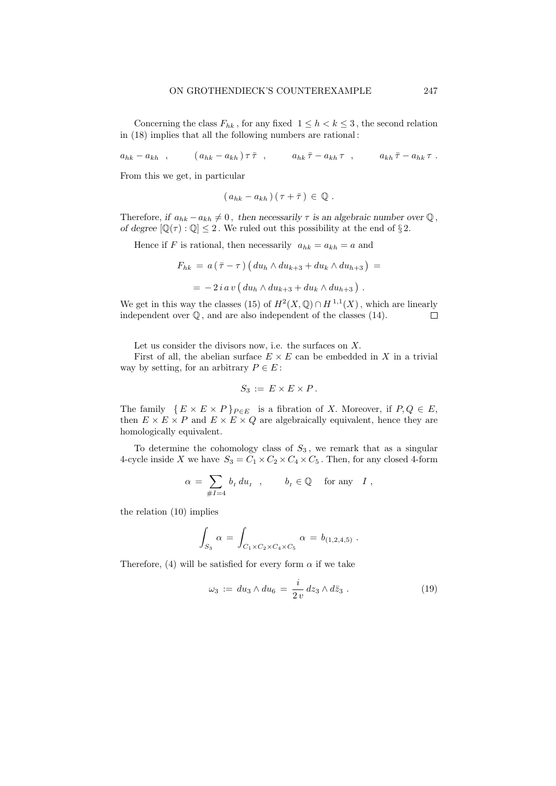Concerning the class  $F_{hk}$ , for any fixed  $1 \leq h \leq k \leq 3$ , the second relation in (18) implies that all the following numbers are rational :

 $a_{hk} - a_{kh}$ ,  $(a_{hk} - a_{kh}) \tau \bar{\tau}$ ,  $a_{hk} \bar{\tau} - a_{kh} \tau$ ,  $a_{kh} \bar{\tau} - a_{hk} \tau$ .

From this we get, in particular

$$
(a_{hk}-a_{kh})(\tau+\bar{\tau})\in\mathbb{Q}.
$$

Therefore, if  $a_{hk} - a_{kh} \neq 0$ , then necessarily  $\tau$  is an algebraic number over  $\mathbb{Q}$ , of degree  $[\mathbb{Q}(\tau):\mathbb{Q}]\leq 2$ . We ruled out this possibility at the end of §2.

Hence if F is rational, then necessarily  $a_{hk} = a_{kh} = a$  and

$$
F_{hk} = a(\bar{\tau} - \tau) (du_h \wedge du_{k+3} + du_k \wedge du_{h+3}) =
$$
  
= 
$$
- 2i a v (du_h \wedge du_{k+3} + du_k \wedge du_{h+3}).
$$

We get in this way the classes (15) of  $H^2(X, \mathbb{Q}) \cap H^{1,1}(X)$ , which are linearly independent over  $\mathbb Q$ , and are also independent of the classes (14).  $\Box$ 

Let us consider the divisors now, i.e. the surfaces on X.

First of all, the abelian surface  $E \times E$  can be embedded in X in a trivial way by setting, for an arbitrary  $P \in E$ :

$$
S_3 := E \times E \times P.
$$

The family  $\{ E \times E \times P \}_{P \in E}$  is a fibration of X. Moreover, if  $P, Q \in E$ , then  $E \times E \times P$  and  $E \times E \times Q$  are algebraically equivalent, hence they are homologically equivalent.

To determine the cohomology class of  $S_3$ , we remark that as a singular 4-cycle inside X we have  $S_3 = C_1 \times C_2 \times C_4 \times C_5$ . Then, for any closed 4-form

$$
\alpha \,=\, \sum_{\#I=4} \,b_I\; du_I\quad , \qquad \ b_I \,\in \mathbb{Q} \quad \text{ for any }\;\; I\ ,
$$

the relation (10) implies

$$
\int_{S_3} \alpha = \int_{C_1 \times C_2 \times C_4 \times C_5} \alpha = b_{(1,2,4,5)}.
$$

Therefore, (4) will be satisfied for every form  $\alpha$  if we take

$$
\omega_3 := du_3 \wedge du_6 = \frac{i}{2v} dz_3 \wedge d\bar{z}_3 . \qquad (19)
$$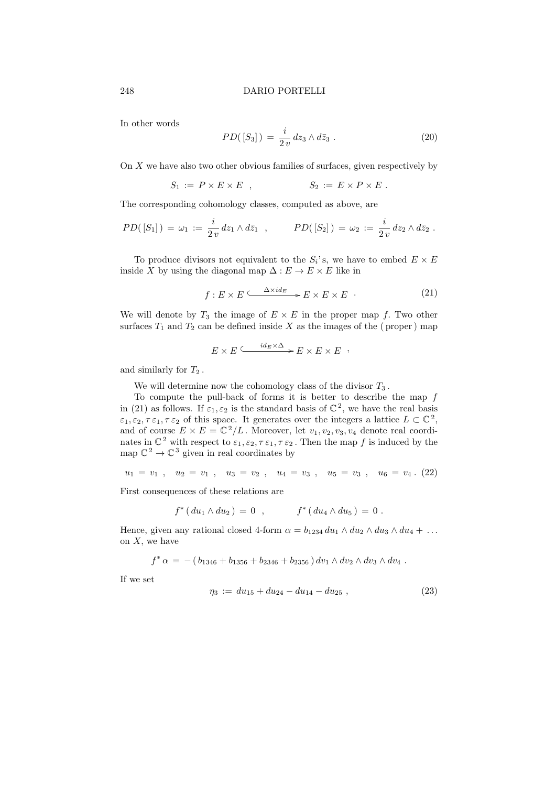In other words

$$
PD([S_3]) = \frac{i}{2v} dz_3 \wedge d\bar{z}_3 . \qquad (20)
$$

On  $X$  we have also two other obvious families of surfaces, given respectively by

$$
S_1 := P \times E \times E , \qquad S_2 := E \times P \times E .
$$

The corresponding cohomology classes, computed as above, are

$$
PD([S_1]) = \omega_1 := \frac{i}{2v} dz_1 \wedge d\bar{z}_1 , \qquad PD([S_2]) = \omega_2 := \frac{i}{2v} dz_2 \wedge d\bar{z}_2 .
$$

To produce divisors not equivalent to the  $S_i$ 's, we have to embed  $E \times E$ inside X by using the diagonal map  $\Delta: E \to E \times E$  like in

$$
f: E \times E \xrightarrow{\Delta \times id_E} E \times E \times E \tag{21}
$$

We will denote by  $T_3$  the image of  $E \times E$  in the proper map f. Two other surfaces  $T_1$  and  $T_2$  can be defined inside X as the images of the (proper) map

$$
E \times E \xrightarrow{id_E \times \Delta} E \times E \times E \quad ,
$$

and similarly for  $T_2$ .

We will determine now the cohomology class of the divisor  $T_3$ .

To compute the pull-back of forms it is better to describe the map  $f$ in (21) as follows. If  $\varepsilon_1, \varepsilon_2$  is the standard basis of  $\mathbb{C}^2$ , we have the real basis  $\varepsilon_1, \varepsilon_2, \tau \varepsilon_1, \tau \varepsilon_2$  of this space. It generates over the integers a lattice  $L \subset \mathbb{C}^2$ , and of course  $E \times E = \mathbb{C}^2/L$ . Moreover, let  $v_1, v_2, v_3, v_4$  denote real coordinates in  $\mathbb{C}^2$  with respect to  $\varepsilon_1, \varepsilon_2, \tau \varepsilon_1, \tau \varepsilon_2$ . Then the map f is induced by the map  $\mathbb{C}^2 \to \mathbb{C}^3$  given in real coordinates by

$$
u_1 = v_1 , \quad u_2 = v_1 , \quad u_3 = v_2 , \quad u_4 = v_3 , \quad u_5 = v_3 , \quad u_6 = v_4 . (22)
$$

First consequences of these relations are

$$
f^*(du_1 \wedge du_2) = 0 , \qquad f^*(du_4 \wedge du_5) = 0 .
$$

Hence, given any rational closed 4-form  $\alpha = b_{1234} du_1 \wedge du_2 \wedge du_3 \wedge du_4 + \ldots$ on  $X$ , we have

$$
f^*\alpha = -(b_{1346} + b_{1356} + b_{2346} + b_{2356}) dv_1 \wedge dv_2 \wedge dv_3 \wedge dv_4.
$$

If we set

$$
\eta_3 := du_{15} + du_{24} - du_{14} - du_{25} , \qquad (23)
$$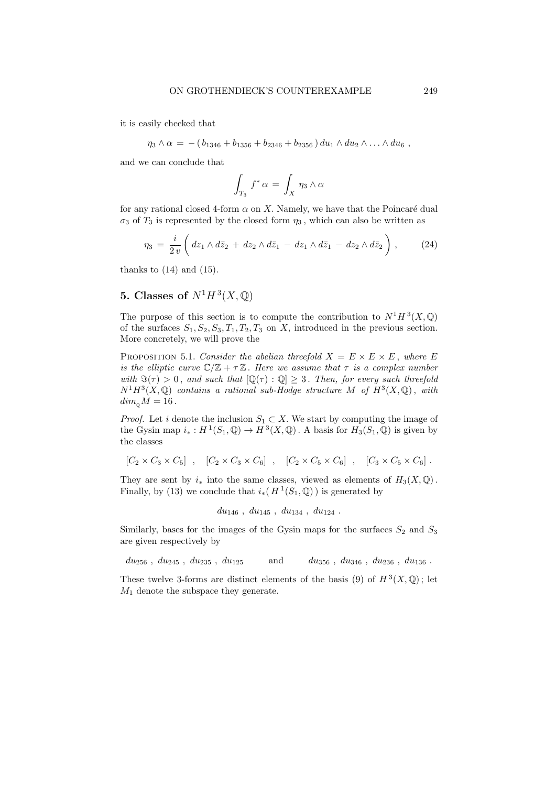it is easily checked that

$$
\eta_3 \wedge \alpha = -(b_{1346} + b_{1356} + b_{2346} + b_{2356}) du_1 \wedge du_2 \wedge \ldots \wedge du_6,
$$

and we can conclude that

$$
\int_{T_3} f^* \alpha = \int_X \eta_3 \wedge \alpha
$$

for any rational closed 4-form  $\alpha$  on X. Namely, we have that the Poincaré dual  $\sigma_3$  of  $T_3$  is represented by the closed form  $\eta_3$ , which can also be written as

$$
\eta_3 = \frac{i}{2v} \left( dz_1 \wedge d\overline{z}_2 + dz_2 \wedge d\overline{z}_1 - dz_1 \wedge d\overline{z}_1 - dz_2 \wedge d\overline{z}_2 \right), \qquad (24)
$$

thanks to  $(14)$  and  $(15)$ .

## 5. Classes of  $N^1H^3(X,\mathbb{Q})$

The purpose of this section is to compute the contribution to  $N^1H^3(X,\mathbb{Q})$ of the surfaces  $S_1, S_2, S_3, T_1, T_2, T_3$  on X, introduced in the previous section. More concretely, we will prove the

PROPOSITION 5.1. Consider the abelian threefold  $X = E \times E \times E$ , where E is the elliptic curve  $\mathbb{C}/\mathbb{Z} + \tau \mathbb{Z}$ . Here we assume that  $\tau$  is a complex number with  $\Im(\tau) > 0$ , and such that  $[\mathbb{Q}(\tau) : \mathbb{Q}] \geq 3$ . Then, for every such threefold  $N^1H^3(X,\mathbb{Q})$  contains a rational sub-Hodge structure M of  $H^3(X,\mathbb{Q})$ , with  $dim_{\scriptscriptstyle\text{O}}M = 16$ .

*Proof.* Let i denote the inclusion  $S_1 \subset X$ . We start by computing the image of the Gysin map  $i_* : H^1(S_1, \mathbb{Q}) \to H^3(X, \mathbb{Q})$ . A basis for  $H_3(S_1, \mathbb{Q})$  is given by the classes

$$
[C_2 \times C_3 \times C_5], \quad [C_2 \times C_3 \times C_6], \quad [C_2 \times C_5 \times C_6], \quad [C_3 \times C_5 \times C_6].
$$

They are sent by  $i_*$  into the same classes, viewed as elements of  $H_3(X, \mathbb{Q})$ . Finally, by (13) we conclude that  $i_*(H^1(S_1, \mathbb{Q}))$  is generated by

$$
du_{146} , du_{145} , du_{134} , du_{124} .
$$

Similarly, bases for the images of the Gysin maps for the surfaces  $S_2$  and  $S_3$ are given respectively by

 $du_{256}$ ,  $du_{245}$ ,  $du_{235}$ ,  $du_{125}$  and  $du_{356}$ ,  $du_{346}$ ,  $du_{236}$ ,  $du_{136}$ .

These twelve 3-forms are distinct elements of the basis (9) of  $H^3(X, \mathbb{Q})$ ; let  $M_1$  denote the subspace they generate.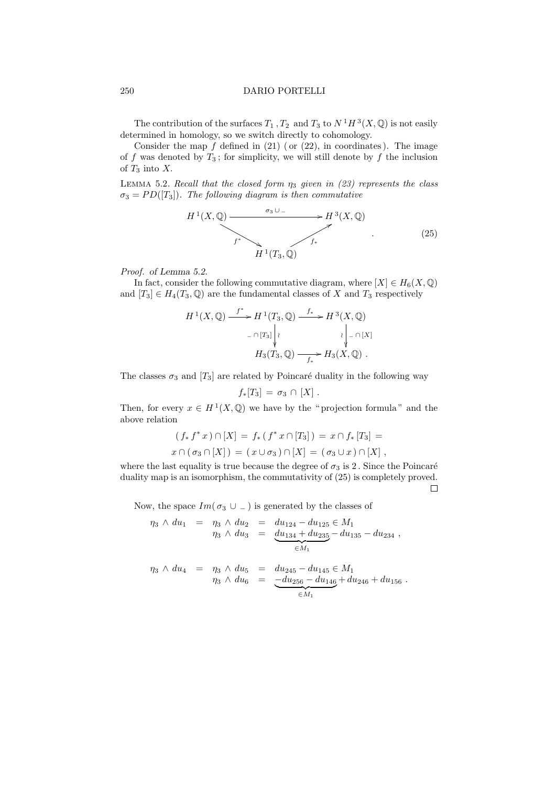The contribution of the surfaces  $T_1$ ,  $T_2$  and  $T_3$  to  $N^1H^3(X,\mathbb{Q})$  is not easily determined in homology, so we switch directly to cohomology.

Consider the map  $f$  defined in  $(21)$  (or  $(22)$ , in coordinates). The image of f was denoted by  $T_3$ ; for simplicity, we will still denote by f the inclusion of  $T_3$  into X.

LEMMA 5.2. Recall that the closed form  $\eta_3$  given in (23) represents the class  $\sigma_3 = PD(T_3)$ . The following diagram is then commutative

$$
H^{1}(X, \mathbb{Q}) \xrightarrow{f^{*}} H^{3}(X, \mathbb{Q})
$$
  

$$
H^{1}(T_{3}, \mathbb{Q})
$$
 (25)

Proof. of Lemma 5.2.

In fact, consider the following commutative diagram, where  $[X] \in H_6(X, \mathbb{Q})$ and  $[T_3] \in H_4(T_3, \mathbb{Q})$  are the fundamental classes of X and  $T_3$  respectively

$$
H^{1}(X, \mathbb{Q}) \xrightarrow{f^{*}} H^{1}(T_{3}, \mathbb{Q}) \xrightarrow{f_{*}} H^{3}(X, \mathbb{Q})
$$

$$
\xrightarrow{- \cap [T_{3}]} \left| \begin{array}{c} \n\downarrow & \n\downarrow \\
\downarrow & \n\downarrow \\
\downarrow & \n\end{array} H_{3}(T_{3}, \mathbb{Q}) \xrightarrow{f_{*}} H_{3}(X, \mathbb{Q}) .
$$

The classes  $\sigma_3$  and  $[T_3]$  are related by Poincaré duality in the following way

$$
f_*[T_3]=\sigma_3\cap [X].
$$

Then, for every  $x \in H^1(X, \mathbb{Q})$  we have by the "projection formula" and the above relation

$$
(f_* f^* x) \cap [X] = f_* (f^* x \cap [T_3]) = x \cap f_* [T_3] =
$$
  

$$
x \cap (\sigma_3 \cap [X]) = (x \cup \sigma_3) \cap [X] = (\sigma_3 \cup x) \cap [X],
$$

where the last equality is true because the degree of  $\sigma_3$  is 2. Since the Poincaré duality map is an isomorphism, the commutativity of (25) is completely proved.

 $\Box$ 

Now, the space  $Im(\sigma_3 \cup -)$  is generated by the classes of

$$
\eta_3 \wedge du_1 = \eta_3 \wedge du_2 = du_{124} - du_{125} \in M_1
$$
  

$$
\eta_3 \wedge du_3 = \underbrace{du_{134} + du_{235}}_{\in M_1} - du_{135} - du_{234},
$$
  

$$
\eta_3 \wedge du_4 = \eta_3 \wedge du_5 = du_{245} - du_{145} \in M_1
$$
  

$$
\eta_3 \wedge du_6 = \underbrace{-du_{256} - du_{146}}_{\in M_1} + du_{246} + du_{156}.
$$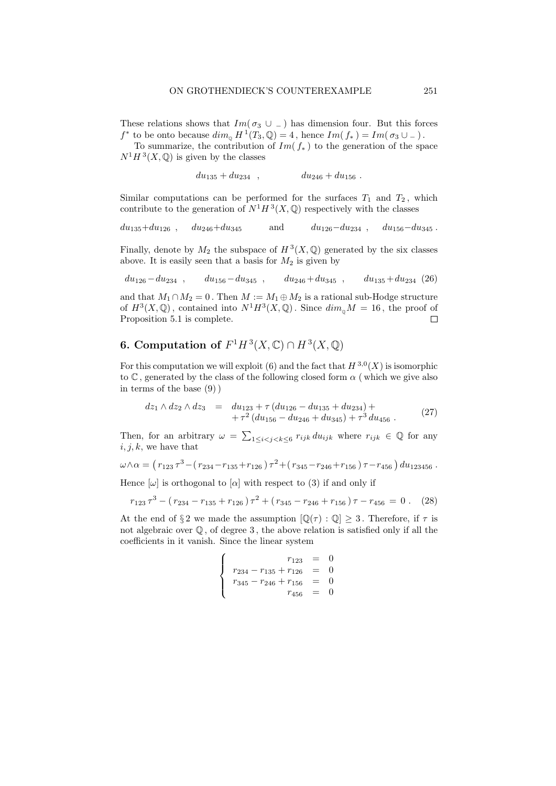These relations shows that  $Im(\sigma_3 \cup )$  has dimension four. But this forces  $f^*$  to be onto because  $dim_{\mathbb{Q}} H^1(T_3, \mathbb{Q}) = 4$ , hence  $Im(f_*) = Im(\sigma_3 \cup ...)$ .

To summarize, the contribution of  $Im(f_*)$  to the generation of the space  $N^1H^3(X,\mathbb{Q})$  is given by the classes

 $du_{135} + du_{234}$ ,  $du_{246} + du_{156}$ .

Similar computations can be performed for the surfaces  $T_1$  and  $T_2$ , which contribute to the generation of  $N^1H^3(X,\mathbb{Q})$  respectively with the classes

$$
du_{135} + du_{126}
$$
,  $du_{246} + du_{345}$  and  $du_{126} - du_{234}$ ,  $du_{156} - du_{345}$ .

Finally, denote by  $M_2$  the subspace of  $H^3(X, \mathbb{Q})$  generated by the six classes above. It is easily seen that a basis for  $M_2$  is given by

$$
du_{126} - du_{234} , du_{156} - du_{345} , du_{246} + du_{345} , du_{135} + du_{234} (26)
$$

and that  $M_1 \cap M_2 = 0$ . Then  $M := M_1 \oplus M_2$  is a rational sub-Hodge structure of  $H^3(X, \mathbb{Q})$ , contained into  $N^1H^3(X, \mathbb{Q})$ . Since  $dim_{\mathbb{Q}}M = 16$ , the proof of Proposition 5.1 is complete.  $\Box$ 

## **6.** Computation of  $F^1H^3(X,\mathbb{C}) \cap H^3(X,\mathbb{Q})$

For this computation we will exploit (6) and the fact that  $H^{3,0}(X)$  is isomorphic to  $\mathbb C$ , generated by the class of the following closed form  $\alpha$  (which we give also in terms of the base (9) )

$$
dz_1 \wedge dz_2 \wedge dz_3 = du_{123} + \tau (du_{126} - du_{135} + du_{234}) ++ \tau^2 (du_{156} - du_{246} + du_{345}) + \tau^3 du_{456}.
$$
 (27)

Then, for an arbitrary  $\omega = \sum_{1 \leq i < j < k \leq 6} r_{ijk} du_{ijk}$  where  $r_{ijk} \in \mathbb{Q}$  for any  $i, j, k$ , we have that

$$
\omega \wedge \alpha = (r_{123} \tau^3 - (r_{234} - r_{135} + r_{126}) \tau^2 + (r_{345} - r_{246} + r_{156}) \tau - r_{456}) du_{123456}.
$$

Hence  $[\omega]$  is orthogonal to  $[\alpha]$  with respect to (3) if and only if

$$
r_{123}\tau^3 - (r_{234} - r_{135} + r_{126})\tau^2 + (r_{345} - r_{246} + r_{156})\tau - r_{456} = 0. \quad (28)
$$

At the end of §2 we made the assumption  $[\mathbb{Q}(\tau) : \mathbb{Q}] \geq 3$ . Therefore, if  $\tau$  is not algebraic over  $\mathbb Q$ , of degree 3, the above relation is satisfied only if all the coefficients in it vanish. Since the linear system

$$
\begin{cases}\n r_{123} = 0 \\
 r_{234} - r_{135} + r_{126} = 0 \\
 r_{345} - r_{246} + r_{156} = 0 \\
 r_{456} = 0\n\end{cases}
$$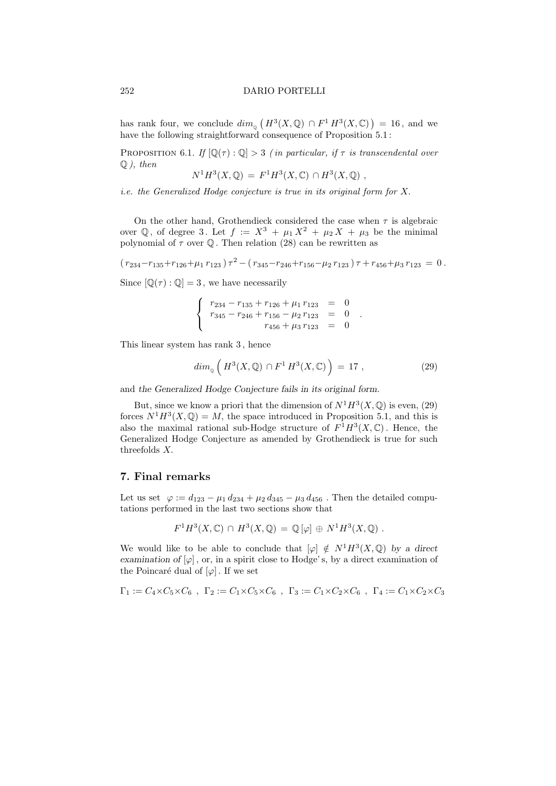has rank four, we conclude  $\dim_{\mathfrak{g}}\left(H^3(X,\mathbb{Q})\cap F^1H^3(X,\mathbb{C})\right)=16$ , and we have the following straightforward consequence of Proposition 5.1:

PROPOSITION 6.1. If  $[\mathbb{Q}(\tau):\mathbb{Q}] > 3$  (in particular, if  $\tau$  is transcendental over  $Q$ ), then <sup>1</sup>H<sup>3</sup>

$$
N^1H^3(X, \mathbb{Q}) = F^1H^3(X, \mathbb{C}) \cap H^3(X, \mathbb{Q}) ,
$$

i.e. the Generalized Hodge conjecture is true in its original form for X.

On the other hand, Grothendieck considered the case when  $\tau$  is algebraic over Q, of degree 3. Let  $f := X^3 + \mu_1 X^2 + \mu_2 X + \mu_3$  be the minimal polynomial of  $\tau$  over Q. Then relation (28) can be rewritten as

$$
(r_{234}-r_{135}+r_{126}+\mu_1 r_{123})\tau^2-(r_{345}-r_{246}+r_{156}-\mu_2 r_{123})\tau+r_{456}+\mu_3 r_{123}=0.
$$

Since  $[\mathbb{Q}(\tau):\mathbb{Q}]=3$ , we have necessarily

 $\sqrt{ }$ J  $\mathcal{L}$  $r_{234} - r_{135} + r_{126} + \mu_1 r_{123} = 0$  $r_{345} - r_{246} + r_{156} - \mu_2 r_{123} = 0$  $r_{456} + \mu_3 r_{123} = 0$ 

This linear system has rank 3 , hence

$$
dim_{\mathbb{Q}}\left(H^3(X,\mathbb{Q})\cap F^1H^3(X,\mathbb{C})\right) = 17 ,\qquad (29)
$$

.

and the Generalized Hodge Conjecture fails in its original form.

But, since we know a priori that the dimension of  $N^1H^3(X, \mathbb{Q})$  is even, (29) forces  $N^1H^3(X,\mathbb{Q}) = M$ , the space introduced in Proposition 5.1, and this is also the maximal rational sub-Hodge structure of  $F^1H^3(X,\mathbb{C})$ . Hence, the Generalized Hodge Conjecture as amended by Grothendieck is true for such threefolds X.

### 7. Final remarks

Let us set  $\varphi := d_{123} - \mu_1 d_{234} + \mu_2 d_{345} - \mu_3 d_{456}$ . Then the detailed computations performed in the last two sections show that

$$
F^1H^3(X,\mathbb{C}) \cap H^3(X,\mathbb{Q}) = \mathbb{Q}[\varphi] \oplus N^1H^3(X,\mathbb{Q}) .
$$

We would like to be able to conclude that  $[\varphi] \notin N^1H^3(X, \mathbb{Q})$  by a direct examination of  $[\varphi]$ , or, in a spirit close to Hodge's, by a direct examination of the Poincaré dual of  $[\varphi]$ . If we set

$$
\Gamma_1 := C_4 \times C_5 \times C_6 , \ \Gamma_2 := C_1 \times C_5 \times C_6 , \ \Gamma_3 := C_1 \times C_2 \times C_6 , \ \Gamma_4 := C_1 \times C_2 \times C_3
$$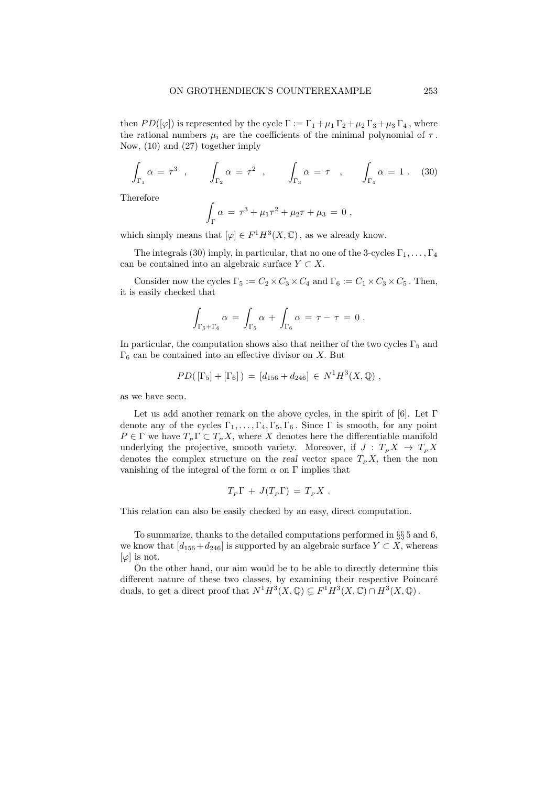then  $PD([\varphi])$  is represented by the cycle  $\Gamma := \Gamma_1 + \mu_1 \Gamma_2 + \mu_2 \Gamma_3 + \mu_3 \Gamma_4$ , where the rational numbers  $\mu_i$  are the coefficients of the minimal polynomial of  $\tau$ . Now, (10) and (27) together imply

$$
\int_{\Gamma_1} \alpha = \tau^3 \ , \qquad \int_{\Gamma_2} \alpha = \tau^2 \ , \qquad \int_{\Gamma_3} \alpha = \tau \ , \qquad \int_{\Gamma_4} \alpha = 1 \ . \tag{30}
$$

Therefore

$$
\int_{\Gamma} \alpha = \tau^3 + \mu_1 \tau^2 + \mu_2 \tau + \mu_3 = 0 ,
$$

which simply means that  $[\varphi] \in F^1 H^3(X, \mathbb{C})$ , as we already know.

The integrals (30) imply, in particular, that no one of the 3-cycles  $\Gamma_1, \ldots, \Gamma_4$ can be contained into an algebraic surface  $Y \subset X$ .

Consider now the cycles  $\Gamma_5 := C_2 \times C_3 \times C_4$  and  $\Gamma_6 := C_1 \times C_3 \times C_5$ . Then, it is easily checked that

$$
\int_{\Gamma_5+\Gamma_6} \alpha = \int_{\Gamma_5} \alpha + \int_{\Gamma_6} \alpha = \tau - \tau = 0.
$$

In particular, the computation shows also that neither of the two cycles  $\Gamma_5$  and  $\Gamma_6$  can be contained into an effective divisor on X. But

$$
PD([\Gamma_5] + [\Gamma_6]) = [d_{156} + d_{246}] \in N^1 H^3(X, \mathbb{Q}),
$$

as we have seen.

Let us add another remark on the above cycles, in the spirit of [6]. Let  $\Gamma$ denote any of the cycles  $\Gamma_1, \ldots, \Gamma_4, \Gamma_5, \Gamma_6$ . Since  $\Gamma$  is smooth, for any point  $P \in \Gamma$  we have  $T_P \Gamma \subset T_P X$ , where X denotes here the differentiable manifold underlying the projective, smooth variety. Moreover, if  $J: T_p X \to T_p X$ denotes the complex structure on the real vector space  $T_P X$ , then the non vanishing of the integral of the form  $\alpha$  on  $\Gamma$  implies that

$$
T_P \Gamma + J(T_P \Gamma) = T_P X .
$$

This relation can also be easily checked by an easy, direct computation.

To summarize, thanks to the detailed computations performed in §§ 5 and 6, we know that  $[d_{156} + d_{246}]$  is supported by an algebraic surface  $Y \subset X$ , whereas  $[\varphi]$  is not.

On the other hand, our aim would be to be able to directly determine this different nature of these two classes, by examining their respective Poincaré duals, to get a direct proof that  $N^1H^3(X, \mathbb{Q}) \subsetneq F^1H^3(X, \mathbb{C}) \cap H^3(X, \mathbb{Q})$ .